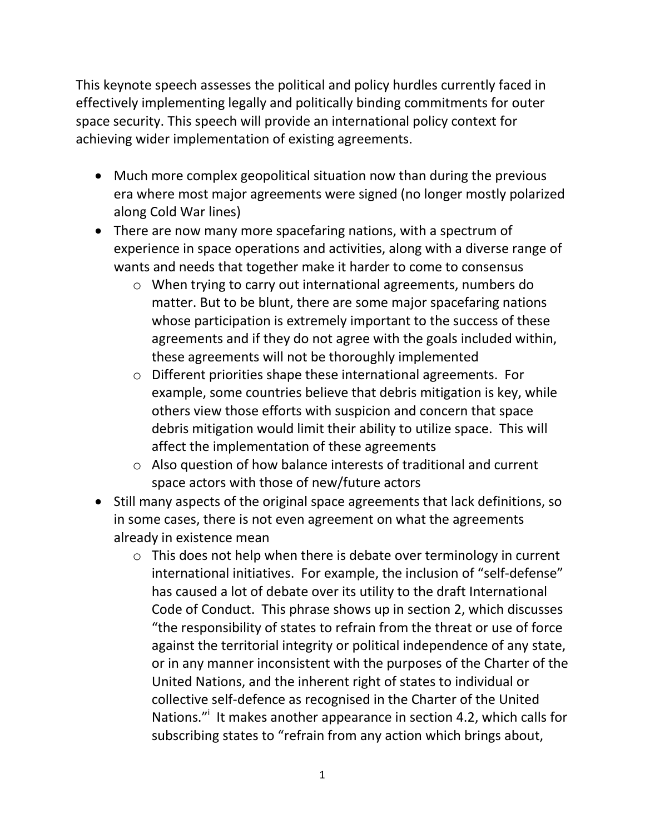This keynote speech assesses the political and policy hurdles currently faced in effectively implementing legally and politically binding commitments for outer space security. This speech will provide an international policy context for achieving wider implementation of existing agreements.

- Much more complex geopolitical situation now than during the previous era where most major agreements were signed (no longer mostly polarized along Cold War lines)
- There are now many more spacefaring nations, with a spectrum of experience in space operations and activities, along with a diverse range of wants and needs that together make it harder to come to consensus
	- o When trying to carry out international agreements, numbers do matter. But to be blunt, there are some major spacefaring nations whose participation is extremely important to the success of these agreements and if they do not agree with the goals included within, these agreements will not be thoroughly implemented
	- o Different priorities shape these international agreements. For example, some countries believe that debris mitigation is key, while others view those efforts with suspicion and concern that space debris mitigation would limit their ability to utilize space. This will affect the implementation of these agreements
	- o Also question of how balance interests of traditional and current space actors with those of new/future actors
- Still many aspects of the original space agreements that lack definitions, so in some cases, there is not even agreement on what the agreements already in existence mean
	- $\circ$  This does not help when there is debate over terminology in current international initiatives. For example, the inclusion of "self-defense" has caused a lot of debate over its utility to the draft International Code of Conduct. This phrase shows up in section 2, which discusses "the responsibility of states to refrain from the threat or use of force against the territorial integrity or political independence of any state, or in any manner inconsistent with the purposes of the Charter of the United Nations, and the inherent right of states to individual or collective self-defence as recognised in the Charter of the United Nations."<sup>i</sup> It makes another appearance in section 4.2, which calls for subscribing states to "refrain from any action which brings about,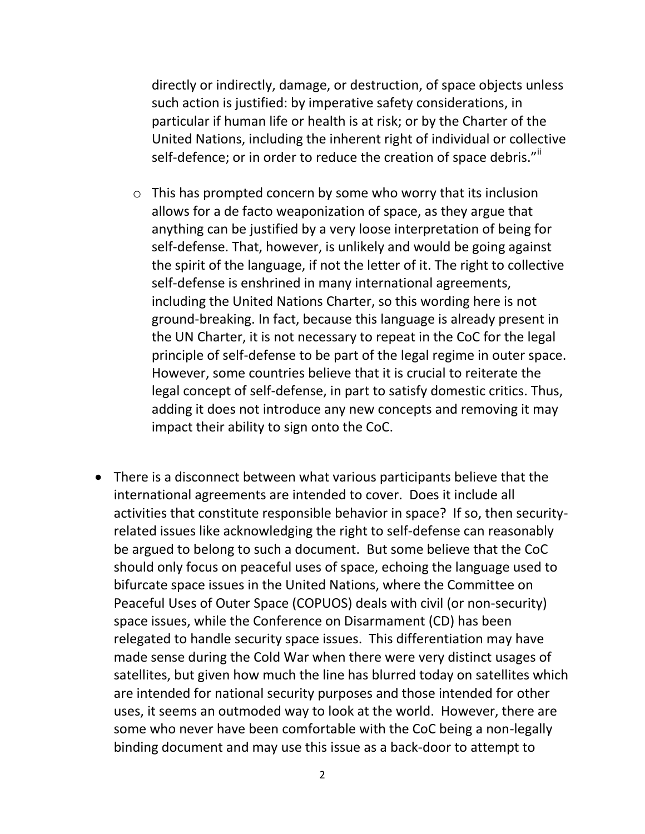directly or indirectly, damage, or destruction, of space objects unless such action is justified: by imperative safety considerations, in particular if human life or health is at risk; or by the Charter of the United Nations, including the inherent right of individual or collective self-defence; or in order to reduce the creation of space debris.""

- o This has prompted concern by some who worry that its inclusion allows for a de facto weaponization of space, as they argue that anything can be justified by a very loose interpretation of being for self-defense. That, however, is unlikely and would be going against the spirit of the language, if not the letter of it. The right to collective self-defense is enshrined in many international agreements, including the United Nations Charter, so this wording here is not ground-breaking. In fact, because this language is already present in the UN Charter, it is not necessary to repeat in the CoC for the legal principle of self-defense to be part of the legal regime in outer space. However, some countries believe that it is crucial to reiterate the legal concept of self-defense, in part to satisfy domestic critics. Thus, adding it does not introduce any new concepts and removing it may impact their ability to sign onto the CoC.
- There is a disconnect between what various participants believe that the international agreements are intended to cover. Does it include all activities that constitute responsible behavior in space? If so, then securityrelated issues like acknowledging the right to self-defense can reasonably be argued to belong to such a document. But some believe that the CoC should only focus on peaceful uses of space, echoing the language used to bifurcate space issues in the United Nations, where the Committee on Peaceful Uses of Outer Space (COPUOS) deals with civil (or non-security) space issues, while the Conference on Disarmament (CD) has been relegated to handle security space issues. This differentiation may have made sense during the Cold War when there were very distinct usages of satellites, but given how much the line has blurred today on satellites which are intended for national security purposes and those intended for other uses, it seems an outmoded way to look at the world. However, there are some who never have been comfortable with the CoC being a non-legally binding document and may use this issue as a back-door to attempt to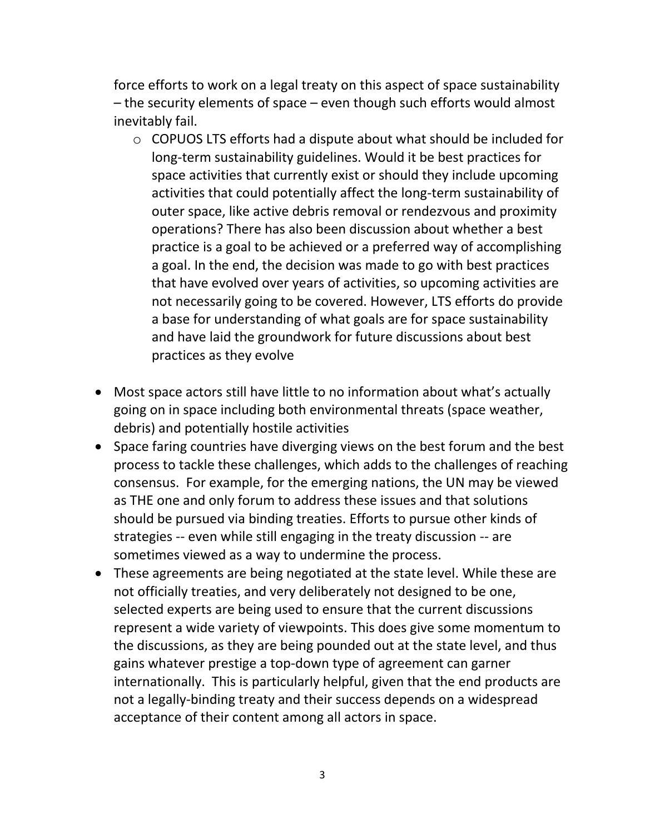force efforts to work on a legal treaty on this aspect of space sustainability – the security elements of space – even though such efforts would almost inevitably fail.

- o COPUOS LTS efforts had a dispute about what should be included for long-term sustainability guidelines. Would it be best practices for space activities that currently exist or should they include upcoming activities that could potentially affect the long-term sustainability of outer space, like active debris removal or rendezvous and proximity operations? There has also been discussion about whether a best practice is a goal to be achieved or a preferred way of accomplishing a goal. In the end, the decision was made to go with best practices that have evolved over years of activities, so upcoming activities are not necessarily going to be covered. However, LTS efforts do provide a base for understanding of what goals are for space sustainability and have laid the groundwork for future discussions about best practices as they evolve
- Most space actors still have little to no information about what's actually going on in space including both environmental threats (space weather, debris) and potentially hostile activities
- Space faring countries have diverging views on the best forum and the best process to tackle these challenges, which adds to the challenges of reaching consensus. For example, for the emerging nations, the UN may be viewed as THE one and only forum to address these issues and that solutions should be pursued via binding treaties. Efforts to pursue other kinds of strategies -- even while still engaging in the treaty discussion -- are sometimes viewed as a way to undermine the process.
- These agreements are being negotiated at the state level. While these are not officially treaties, and very deliberately not designed to be one, selected experts are being used to ensure that the current discussions represent a wide variety of viewpoints. This does give some momentum to the discussions, as they are being pounded out at the state level, and thus gains whatever prestige a top-down type of agreement can garner internationally. This is particularly helpful, given that the end products are not a legally-binding treaty and their success depends on a widespread acceptance of their content among all actors in space.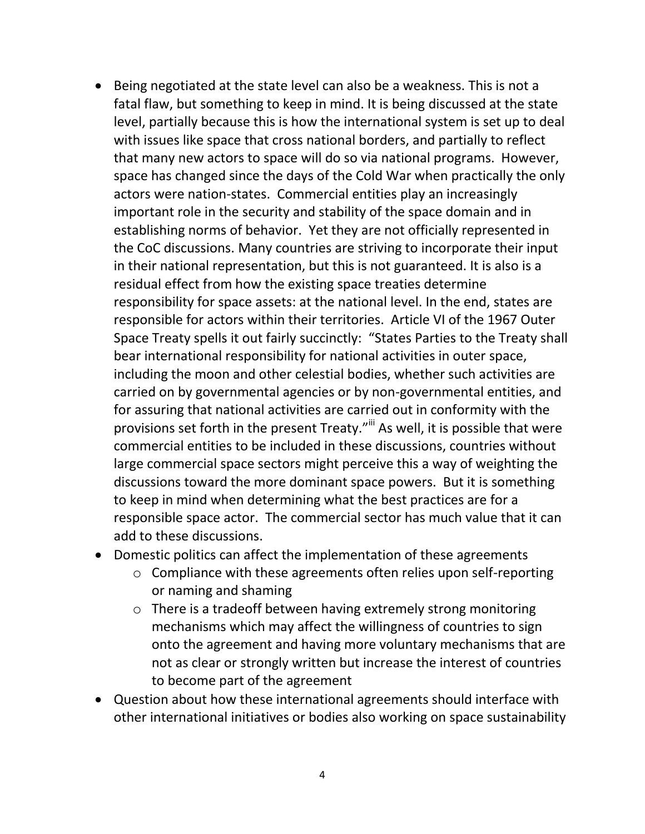- Being negotiated at the state level can also be a weakness. This is not a fatal flaw, but something to keep in mind. It is being discussed at the state level, partially because this is how the international system is set up to deal with issues like space that cross national borders, and partially to reflect that many new actors to space will do so via national programs. However, space has changed since the days of the Cold War when practically the only actors were nation-states. Commercial entities play an increasingly important role in the security and stability of the space domain and in establishing norms of behavior. Yet they are not officially represented in the CoC discussions. Many countries are striving to incorporate their input in their national representation, but this is not guaranteed. It is also is a residual effect from how the existing space treaties determine responsibility for space assets: at the national level. In the end, states are responsible for actors within their territories. Article VI of the 1967 Outer Space Treaty spells it out fairly succinctly: "States Parties to the Treaty shall bear international responsibility for national activities in outer space, including the moon and other celestial bodies, whether such activities are carried on by governmental agencies or by non-governmental entities, and for assuring that national activities are carried out in conformity with the provisions set forth in the present Treaty."<sup>iii</sup> As well, it is possible that were commercial entities to be included in these discussions, countries without large commercial space sectors might perceive this a way of weighting the discussions toward the more dominant space powers. But it is something to keep in mind when determining what the best practices are for a responsible space actor. The commercial sector has much value that it can add to these discussions.
- Domestic politics can affect the implementation of these agreements
	- o Compliance with these agreements often relies upon self-reporting or naming and shaming
	- o There is a tradeoff between having extremely strong monitoring mechanisms which may affect the willingness of countries to sign onto the agreement and having more voluntary mechanisms that are not as clear or strongly written but increase the interest of countries to become part of the agreement
- Question about how these international agreements should interface with other international initiatives or bodies also working on space sustainability